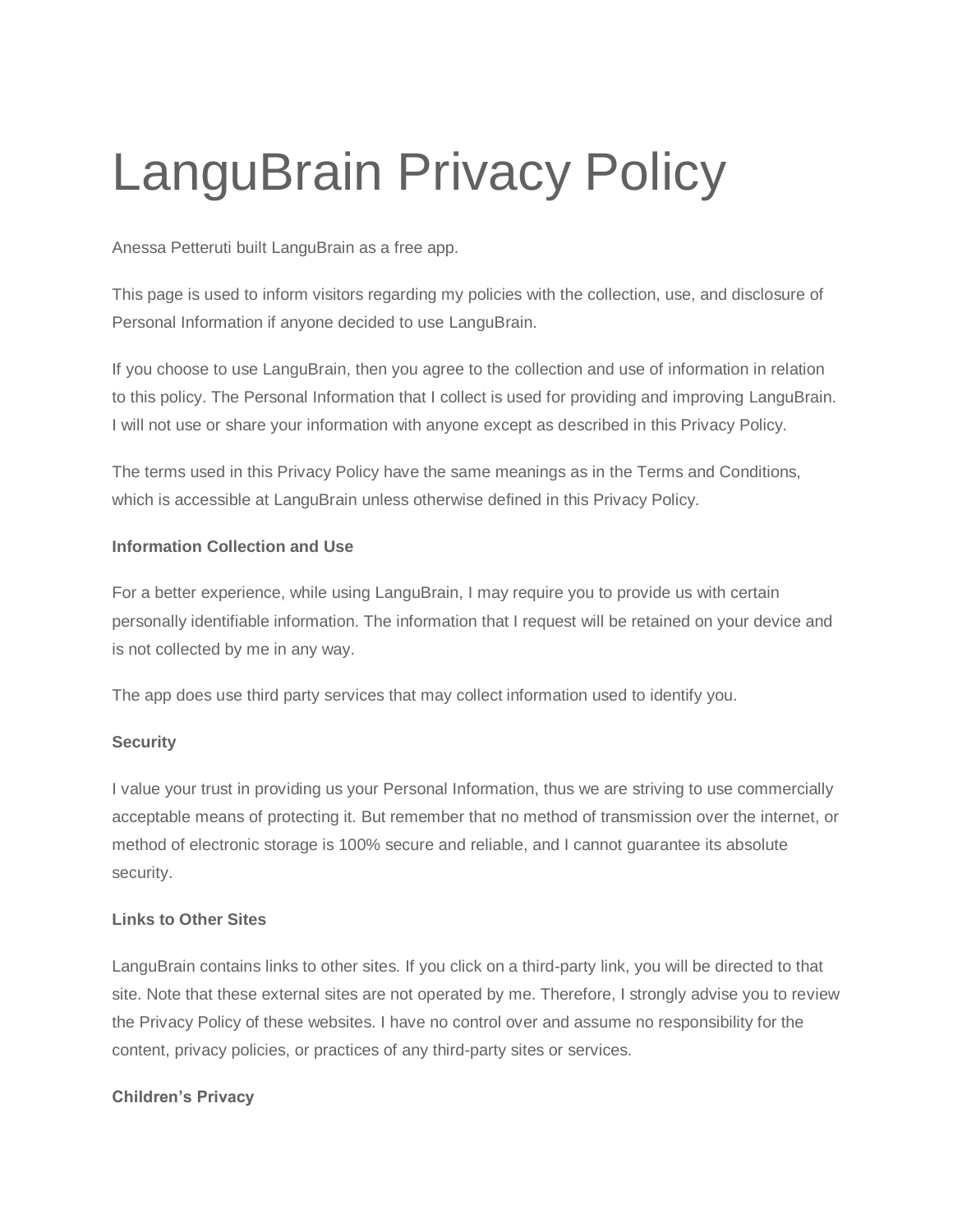# LanguBrain Privacy Policy

Anessa Petteruti built LanguBrain as a free app.

This page is used to inform visitors regarding my policies with the collection, use, and disclosure of Personal Information if anyone decided to use LanguBrain.

If you choose to use LanguBrain, then you agree to the collection and use of information in relation to this policy. The Personal Information that I collect is used for providing and improving LanguBrain. I will not use or share your information with anyone except as described in this Privacy Policy.

The terms used in this Privacy Policy have the same meanings as in the Terms and Conditions, which is accessible at LanguBrain unless otherwise defined in this Privacy Policy.

#### **Information Collection and Use**

For a better experience, while using LanguBrain, I may require you to provide us with certain personally identifiable information. The information that I request will be retained on your device and is not collected by me in any way.

The app does use third party services that may collect information used to identify you.

## **Security**

I value your trust in providing us your Personal Information, thus we are striving to use commercially acceptable means of protecting it. But remember that no method of transmission over the internet, or method of electronic storage is 100% secure and reliable, and I cannot guarantee its absolute security.

## **Links to Other Sites**

LanguBrain contains links to other sites. If you click on a third-party link, you will be directed to that site. Note that these external sites are not operated by me. Therefore, I strongly advise you to review the Privacy Policy of these websites. I have no control over and assume no responsibility for the content, privacy policies, or practices of any third-party sites or services.

## **Children's Privacy**